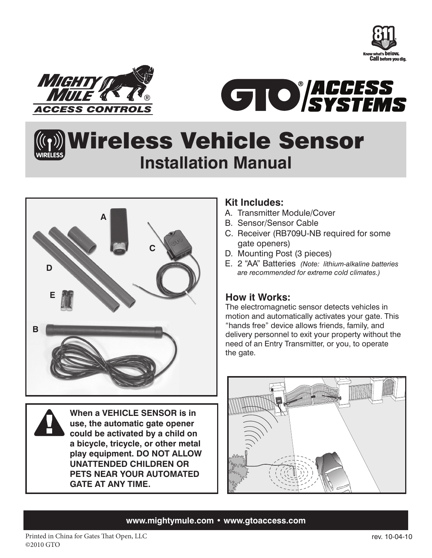





### Wireless Vehicle Sensor **Installation Manual WIRELESS**



**When a VEHICLE SENSOR is in use, the automatic gate opener could be activated by a child on a bicycle, tricycle, or other metal play equipment. DO NOT ALLOW UNATTENDED CHILDREN OR PETS NEAR YOUR AUTOMATED GATE AT ANY TIME.**

### **Kit Includes:**

- A. Transmitter Module/Cover
- B. Sensor/Sensor Cable
- C. Receiver (RB709U-NB required for some gate openers)
- D. Mounting Post (3 pieces)
- E. 2 "AA" Batteries *(Note: lithium-alkaline batteries are recommended for extreme cold climates.)*

### **How it Works:**

The electromagnetic sensor detects vehicles in motion and automatically activates your gate. This "hands free" device allows friends, family, and delivery personnel to exit your property without the need of an Entry Transmitter, or you, to operate the gate.



### **www.mightymule.com • www.gtoaccess.com**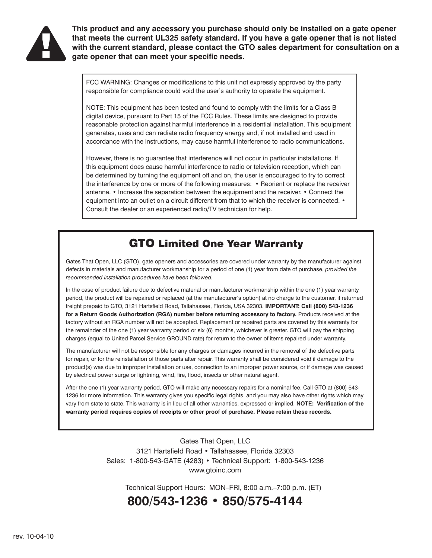

**This product and any accessory you purchase should only be installed on a gate opener that meets the current UL325 safety standard. If you have a gate opener that is not listed with the current standard, please contact the GTO sales department for consultation on a gate opener that can meet your specific needs.**

FCC WARNING: Changes or modifications to this unit not expressly approved by the party responsible for compliance could void the user's authority to operate the equipment.

NOTE: This equipment has been tested and found to comply with the limits for a Class B digital device, pursuant to Part 15 of the FCC Rules. These limits are designed to provide reasonable protection against harmful interference in a residential installation. This equipment generates, uses and can radiate radio frequency energy and, if not installed and used in accordance with the instructions, may cause harmful interference to radio communications.

However, there is no guarantee that interference will not occur in particular installations. If this equipment does cause harmful interference to radio or television reception, which can be determined by turning the equipment off and on, the user is encouraged to try to correct the interference by one or more of the following measures: • Reorient or replace the receiver antenna. • Increase the separation between the equipment and the receiver. • Connect the equipment into an outlet on a circuit different from that to which the receiver is connected. • Consult the dealer or an experienced radio/TV technician for help.

### GTO Limited One Year Warranty

Gates That Open, LLC (GTO), gate openers and accessories are covered under warranty by the manufacturer against defects in materials and manufacturer workmanship for a period of one (1) year from date of purchase, *provided the recommended installation procedures have been followed.*

In the case of product failure due to defective material or manufacturer workmanship within the one (1) year warranty period, the product will be repaired or replaced (at the manufacturer's option) at no charge to the customer, if returned freight prepaid to GTO, 3121 Hartsfield Road, Tallahassee, Florida, USA 32303. **IMPORTANT: Call (800) 543-1236**  for a Return Goods Authorization (RGA) number before returning accessory to factory. Products received at the factory without an RGA number will not be accepted. Replacement or repaired parts are covered by this warranty for the remainder of the one (1) year warranty period or six (6) months, whichever is greater. GTO will pay the shipping charges (equal to United Parcel Service GROUND rate) for return to the owner of items repaired under warranty.

The manufacturer will not be responsible for any charges or damages incurred in the removal of the defective parts for repair, or for the reinstallation of those parts after repair. This warranty shall be considered void if damage to the product(s) was due to improper installation or use, connection to an improper power source, or if damage was caused by electrical power surge or lightning, wind, fire, flood, insects or other natural agent.

After the one (1) year warranty period, GTO will make any necessary repairs for a nominal fee. Call GTO at (800) 543- 1236 for more information. This warranty gives you specific legal rights, and you may also have other rights which may vary from state to state. This warranty is in lieu of all other warranties, expressed or implied. **NOTE: Verification of the warranty period requires copies of receipts or other proof of purchase. Please retain these records.**

> Gates That Open, LLC 3121 Hartsfield Road • Tallahassee, Florida 32303 Sales: 1-800-543-GATE (4283) • Technical Support: 1-800-543-1236 www.gtoinc.com

Technical Support Hours: MON–FRI, 8:00 a.m.–7:00 p.m. (ET)

### **800/543-1236 • 850/575-4144**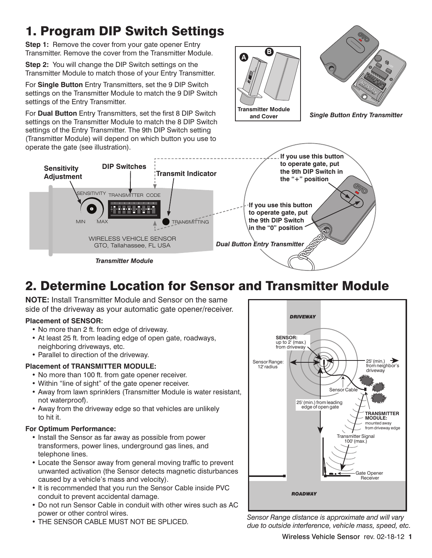# 1. Program DIP Switch Settings

**Step 1:** Remove the cover from your gate opener Entry Transmitter. Remove the cover from the Transmitter Module.

**Step 2:** You will change the DIP Switch settings on the Transmitter Module to match those of your Entry Transmitter.

For **Single Button** Entry Transmitters, set the 9 DIP Switch settings on the Transmitter Module to match the 9 DIP Switch settings of the Entry Transmitter.

For **Dual Button** Entry Transmitters, set the first 8 DIP Switch settings on the Transmitter Module to match the 8 DIP Switch settings of the Entry Transmitter. The 9th DIP Switch setting (Transmitter Module) will depend on which button you use to operate the gate (see illustration).





*Single Button Entry Transmitter*



# 2. Determine Location for Sensor and Transmitter Module

**NOTE:** Install Transmitter Module and Sensor on the same side of the driveway as your automatic gate opener/receiver.

#### **Placement of SENSOR:**

- No more than 2 ft. from edge of driveway.
- At least 25 ft. from leading edge of open gate, roadways, neighboring driveways, etc.
- Parallel to direction of the driveway.

### **Placement of TRANSMITTER MODULE:**

- No more than 100 ft. from gate opener receiver.
- Within "line of sight" of the gate opener receiver.
- Away from lawn sprinklers (Transmitter Module is water resistant, not waterproof).
- Away from the driveway edge so that vehicles are unlikely to hit it.

### **For Optimum Performance:**

- Install the Sensor as far away as possible from power transformers, power lines, underground gas lines, and telephone lines.
- Locate the Sensor away from general moving traffic to prevent unwanted activation (the Sensor detects magnetic disturbances caused by a vehicle's mass and velocity).
- It is recommended that you run the Sensor Cable inside PVC conduit to prevent accidental damage.
- Do not run Sensor Cable in conduit with other wires such as AC power or other control wires.
- THE SENSOR CABLE MUST NOT BE SPLICED.



*Sensor Range distance is approximate and will vary due to outside interference, vehicle mass, speed, etc.*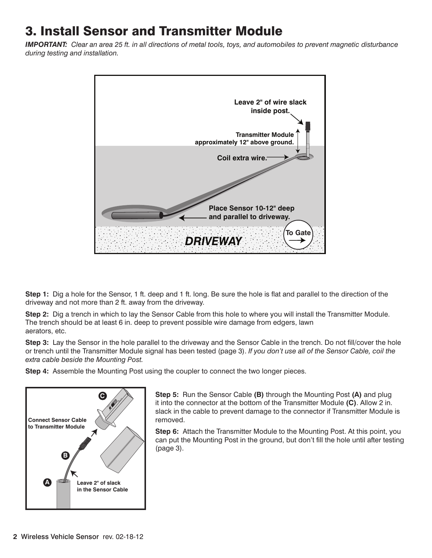## 3. Install Sensor and Transmitter Module

*IMPORTANT: Clear an area 25 ft. in all directions of metal tools, toys, and automobiles to prevent magnetic disturbance during testing and installation.*



**Step 1:** Dig a hole for the Sensor, 1 ft. deep and 1 ft. long. Be sure the hole is flat and parallel to the direction of the driveway and not more than 2 ft. away from the driveway.

**Step 2:** Dig a trench in which to lay the Sensor Cable from this hole to where you will install the Transmitter Module. The trench should be at least 6 in. deep to prevent possible wire damage from edgers, lawn aerators, etc.

**Step 3:** Lay the Sensor in the hole parallel to the driveway and the Sensor Cable in the trench. Do not fill/cover the hole or trench until the Transmitter Module signal has been tested (page 3). *If you don't use all of the Sensor Cable, coil the extra cable beside the Mounting Post.*

**Step 4:** Assemble the Mounting Post using the coupler to connect the two longer pieces.



**Step 5:** Run the Sensor Cable **(B)** through the Mounting Post **(A)** and plug it into the connector at the bottom of the Transmitter Module **(C)**. Allow 2 in. slack in the cable to prevent damage to the connector if Transmitter Module is removed.

**Step 6:** Attach the Transmitter Module to the Mounting Post. At this point, you can put the Mounting Post in the ground, but don't fill the hole until after testing (page 3).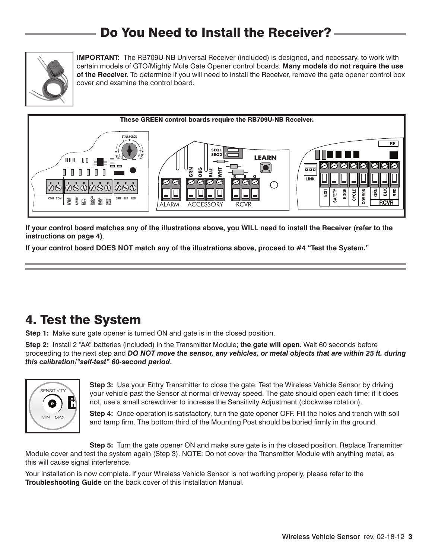## Do You Need to Install the Receiver?



**IMPORTANT:** The RB709U-NB Universal Receiver (included) is designed, and necessary, to work with certain models of GTO/Mighty Mule Gate Opener control boards. **Many models do not require the use of the Receiver.** To determine if you will need to install the Receiver, remove the gate opener control box cover and examine the control board.



**If your control board matches any of the illustrations above, you WILL need to install the Receiver (refer to the instructions on page 4)**.

**If your control board DOES NOT match any of the illustrations above, proceed to #4 "Test the System."**

## 4. Test the System

**Step 1:** Make sure gate opener is turned ON and gate is in the closed position.

**Step 2:** Install 2 "AA" batteries (included) in the Transmitter Module; **the gate will open**. Wait 60 seconds before proceeding to the next step and *DO NOT move the sensor, any vehicles, or metal objects that are within 25 ft. during this calibration/"self-test" 60-second period***.**



**Step 3:** Use your Entry Transmitter to close the gate. Test the Wireless Vehicle Sensor by driving  $\Box$  your vehicle past the Sensor at normal driveway speed. The gate should open each time; if it does not, use a small screwdriver to increase the Sensitivity Adjustment (clockwise rotation).

**Step 4:** Once operation is satisfactory, turn the gate opener OFF. Fill the holes and trench with soil and tamp firm. The bottom third of the Mounting Post should be buried firmly in the ground.

**Step 5:** Turn the gate opener ON and make sure gate is in the closed position. Replace Transmitter Module cover and test the system again (Step 3). NOTE: Do not cover the Transmitter Module with anything metal, as this will cause signal interference.

Your installation is now complete. If your Wireless Vehicle Sensor is not working properly, please refer to the **Troubleshooting Guide** on the back cover of this Installation Manual.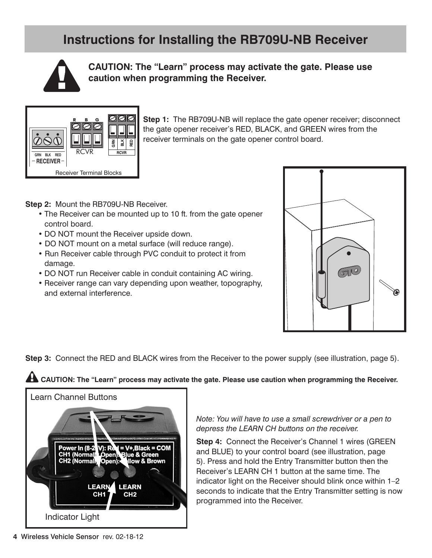## **Instructions for Installing the RB709U-NB Receiver**



**CAUTION: The "Learn" process may activate the gate. Please use caution when programming the Receiver.**



**Step 1:** The RB709U-NB will replace the gate opener receiver; disconnect the gate opener receiver's RED, BLACK, and GREEN wires from the receiver terminals on the gate opener control board.

**Step 2:** Mount the RB709U-NB Receiver.

- The Receiver can be mounted up to 10 ft. from the gate opener control board.
- DO NOT mount the Receiver upside down.
- DO NOT mount on a metal surface (will reduce range).
- Run Receiver cable through PVC conduit to protect it from damage.
- DO NOT run Receiver cable in conduit containing AC wiring.
- Receiver range can vary depending upon weather, topography, and external interference.



**Step 3:** Connect the RED and BLACK wires from the Receiver to the power supply (see illustration, page 5).

**A** CAUTION: The "Learn" process may activate the gate. Please use caution when programming the Receiver.



*Note: You will have to use a small screwdriver or a pen to depress the LEARN CH buttons on the receiver.*

**Step 4:** Connect the Receiver's Channel 1 wires (GREEN and BLUE) to your control board (see illustration, page 5). Press and hold the Entry Transmitter button then the Receiver's LEARN CH 1 button at the same time. The indicator light on the Receiver should blink once within 1–2 seconds to indicate that the Entry Transmitter setting is now programmed into the Receiver.

**4** Wireless Vehicle Sensor rev. 02-18-12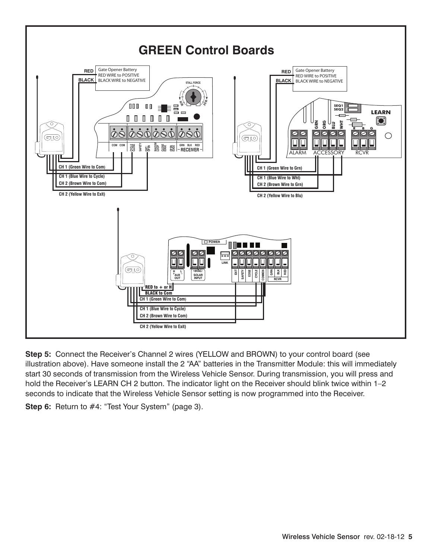

**Step 5:** Connect the Receiver's Channel 2 wires (YELLOW and BROWN) to your control board (see illustration above). Have someone install the 2 "AA" batteries in the Transmitter Module: this will immediately start 30 seconds of transmission from the Wireless Vehicle Sensor. During transmission, you will press and hold the Receiver's LEARN CH 2 button. The indicator light on the Receiver should blink twice within 1-2 seconds to indicate that the Wireless Vehicle Sensor setting is now programmed into the Receiver.

**Step 6:** Return to #4: "Test Your System" (page 3).